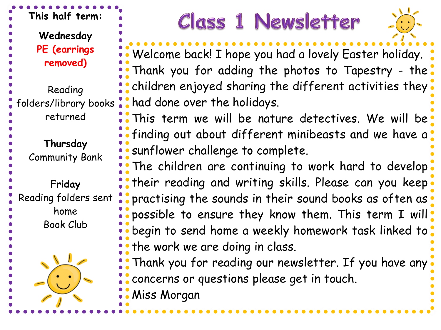**This half term: Wednesday PE (earrings** 

**removed)**

- Reading
- folders/library books
	- returned

**Thursday**

Community Bank

**Friday**

Reading folders sent

home Book Club

# **Class 1 Newsletter**



Welcome back! I hope you had a lovely Easter holiday. Thank you for adding the photos to Tapestry - the children enjoyed sharing the different activities they had done over the holidays.

This term we will be nature detectives. We will be finding out about different minibeasts and we have a sunflower challenge to complete.

The children are continuing to work hard to develop: their reading and writing skills. Please can you keep practising the sounds in their sound books as often as. possible to ensure they know them. This term I will. begin to send home a weekly homework task linked to . the work we are doing in class.

Thank you for reading our newsletter. If you have any concerns or questions please get in touch.

Miss Morgan